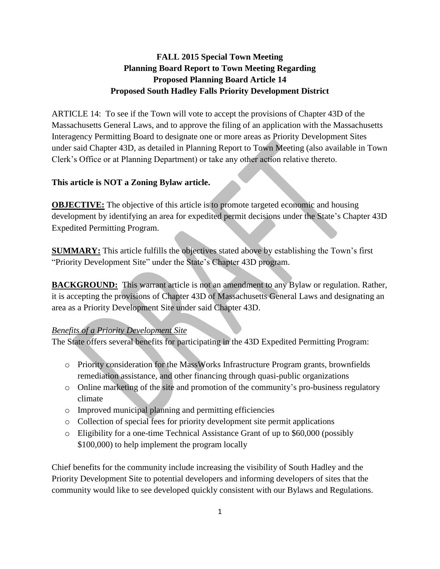# **FALL 2015 Special Town Meeting Planning Board Report to Town Meeting Regarding Proposed Planning Board Article 14 Proposed South Hadley Falls Priority Development District**

ARTICLE 14: To see if the Town will vote to accept the provisions of Chapter 43D of the Massachusetts General Laws, and to approve the filing of an application with the Massachusetts Interagency Permitting Board to designate one or more areas as Priority Development Sites under said Chapter 43D, as detailed in Planning Report to Town Meeting (also available in Town Clerk's Office or at Planning Department) or take any other action relative thereto.

### **This article is NOT a Zoning Bylaw article.**

**OBJECTIVE:** The objective of this article is to promote targeted economic and housing development by identifying an area for expedited permit decisions under the State's Chapter 43D Expedited Permitting Program.

**SUMMARY:** This article fulfills the objectives stated above by establishing the Town's first "Priority Development Site" under the State's Chapter 43D program.

**BACKGROUND:** This warrant article is not an amendment to any Bylaw or regulation. Rather, it is accepting the provisions of Chapter 43D of Massachusetts General Laws and designating an area as a Priority Development Site under said Chapter 43D.

## *Benefits of a Priority Development Site*

The State offers several benefits for participating in the 43D Expedited Permitting Program:

- o Priority consideration for the MassWorks Infrastructure Program grants, brownfields remediation assistance, and other financing through quasi-public organizations
- o Online marketing of the site and promotion of the community's pro-business regulatory climate
- o Improved municipal planning and permitting efficiencies
- o Collection of special fees for priority development site permit applications
- o Eligibility for a one-time Technical Assistance Grant of up to \$60,000 (possibly \$100,000) to help implement the program locally

Chief benefits for the community include increasing the visibility of South Hadley and the Priority Development Site to potential developers and informing developers of sites that the community would like to see developed quickly consistent with our Bylaws and Regulations.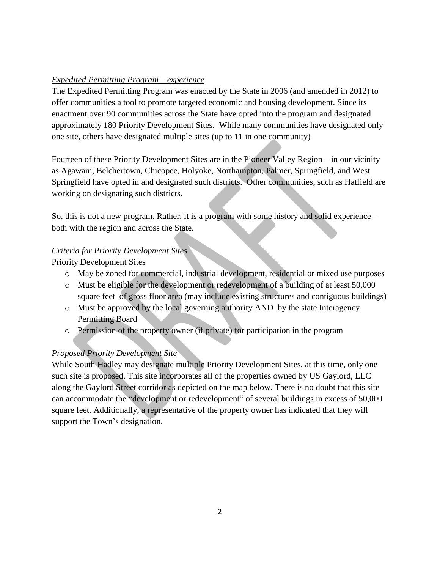## *Expedited Permitting Program – experience*

The Expedited Permitting Program was enacted by the State in 2006 (and amended in 2012) to offer communities a tool to promote targeted economic and housing development. Since its enactment over 90 communities across the State have opted into the program and designated approximately 180 Priority Development Sites. While many communities have designated only one site, others have designated multiple sites (up to 11 in one community)

Fourteen of these Priority Development Sites are in the Pioneer Valley Region – in our vicinity as Agawam, Belchertown, Chicopee, Holyoke, Northampton, Palmer, Springfield, and West Springfield have opted in and designated such districts. Other communities, such as Hatfield are working on designating such districts.

So, this is not a new program. Rather, it is a program with some history and solid experience – both with the region and across the State.

## *Criteria for Priority Development Sites*

Priority Development Sites

- o May be zoned for commercial, industrial development, residential or mixed use purposes
- o Must be eligible for the development or redevelopment of a building of at least 50,000 square feet of gross floor area (may include existing structures and contiguous buildings)
- o Must be approved by the local governing authority AND by the state Interagency Permitting Board
- o Permission of the property owner (if private) for participation in the program

# *Proposed Priority Development Site*

While South Hadley may designate multiple Priority Development Sites, at this time, only one such site is proposed. This site incorporates all of the properties owned by US Gaylord, LLC along the Gaylord Street corridor as depicted on the map below. There is no doubt that this site can accommodate the "development or redevelopment" of several buildings in excess of 50,000 square feet. Additionally, a representative of the property owner has indicated that they will support the Town's designation.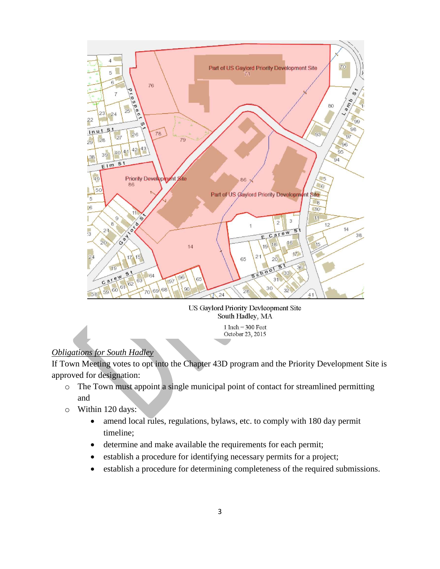

US Gaylord Priority Devleopment Site South Hadley, MA

 $1$  Inch = 300 Feet October 23, 2015

# *Obligations for South Hadley*

If Town Meeting votes to opt into the Chapter 43D program and the Priority Development Site is approved for designation:

- o The Town must appoint a single municipal point of contact for streamlined permitting and
- o Within 120 days:
	- amend local rules, regulations, bylaws, etc. to comply with 180 day permit timeline;
	- determine and make available the requirements for each permit;
	- establish a procedure for identifying necessary permits for a project;
	- establish a procedure for determining completeness of the required submissions.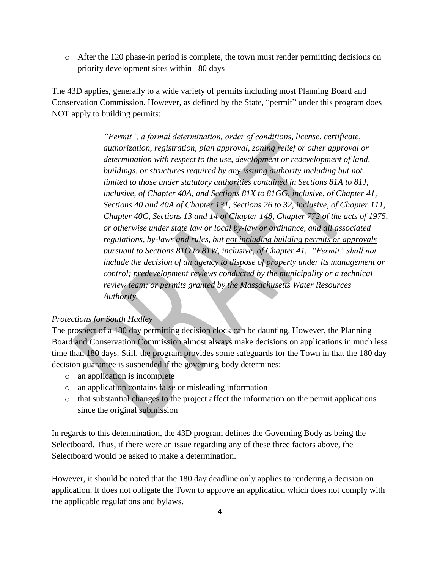$\circ$  After the 120 phase-in period is complete, the town must render permitting decisions on priority development sites within 180 days

The 43D applies, generally to a wide variety of permits including most Planning Board and Conservation Commission. However, as defined by the State, "permit" under this program does NOT apply to building permits:

> *"Permit", a formal determination, order of conditions, license, certificate, authorization, registration, plan approval, zoning relief or other approval or determination with respect to the use, development or redevelopment of land, buildings, or structures required by any issuing authority including but not limited to those under statutory authorities contained in Sections 81A to 81J, inclusive, of Chapter 40A, and Sections 81X to 81GG, inclusive, of Chapter 41, Sections 40 and 40A of Chapter 131, Sections 26 to 32, inclusive, of Chapter 111, Chapter 40C, Sections 13 and 14 of Chapter 148, Chapter 772 of the acts of 1975, or otherwise under state law or local by-law or ordinance, and all associated regulations, by-laws and rules, but not including building permits or approvals pursuant to Sections 81O to 81W, inclusive, of Chapter 41. "Permit" shall not include the decision of an agency to dispose of property under its management or control; predevelopment reviews conducted by the municipality or a technical review team; or permits granted by the Massachusetts Water Resources Authority.*

#### *Protections for South Hadley*

The prospect of a 180 day permitting decision clock can be daunting. However, the Planning Board and Conservation Commission almost always make decisions on applications in much less time than 180 days. Still, the program provides some safeguards for the Town in that the 180 day decision guarantee is suspended if the governing body determines:

- o an application is incomplete
- o an application contains false or misleading information
- o that substantial changes to the project affect the information on the permit applications since the original submission

In regards to this determination, the 43D program defines the Governing Body as being the Selectboard. Thus, if there were an issue regarding any of these three factors above, the Selectboard would be asked to make a determination.

However, it should be noted that the 180 day deadline only applies to rendering a decision on application. It does not obligate the Town to approve an application which does not comply with the applicable regulations and bylaws.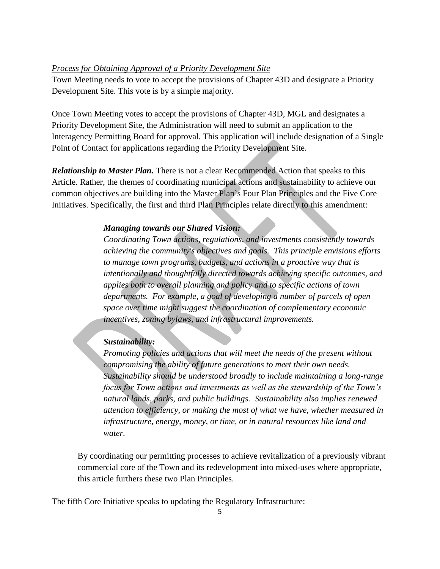#### *Process for Obtaining Approval of a Priority Development Site*

Town Meeting needs to vote to accept the provisions of Chapter 43D and designate a Priority Development Site. This vote is by a simple majority.

Once Town Meeting votes to accept the provisions of Chapter 43D, MGL and designates a Priority Development Site, the Administration will need to submit an application to the Interagency Permitting Board for approval. This application will include designation of a Single Point of Contact for applications regarding the Priority Development Site.

*Relationship to Master Plan.* There is not a clear Recommended Action that speaks to this Article. Rather, the themes of coordinating municipal actions and sustainability to achieve our common objectives are building into the Master Plan's Four Plan Principles and the Five Core Initiatives. Specifically, the first and third Plan Principles relate directly to this amendment:

#### *Managing towards our Shared Vision:*

*Coordinating Town actions, regulations, and investments consistently towards achieving the community's objectives and goals. This principle envisions efforts to manage town programs, budgets, and actions in a proactive way that is intentionally and thoughtfully directed towards achieving specific outcomes, and applies both to overall planning and policy and to specific actions of town departments. For example, a goal of developing a number of parcels of open space over time might suggest the coordination of complementary economic incentives, zoning bylaws, and infrastructural improvements.* 

#### *Sustainability:*

*Promoting policies and actions that will meet the needs of the present without compromising the ability of future generations to meet their own needs. Sustainability should be understood broadly to include maintaining a long-range focus for Town actions and investments as well as the stewardship of the Town's natural lands, parks, and public buildings. Sustainability also implies renewed attention to efficiency, or making the most of what we have, whether measured in infrastructure, energy, money, or time, or in natural resources like land and water.*

By coordinating our permitting processes to achieve revitalization of a previously vibrant commercial core of the Town and its redevelopment into mixed-uses where appropriate, this article furthers these two Plan Principles.

The fifth Core Initiative speaks to updating the Regulatory Infrastructure: